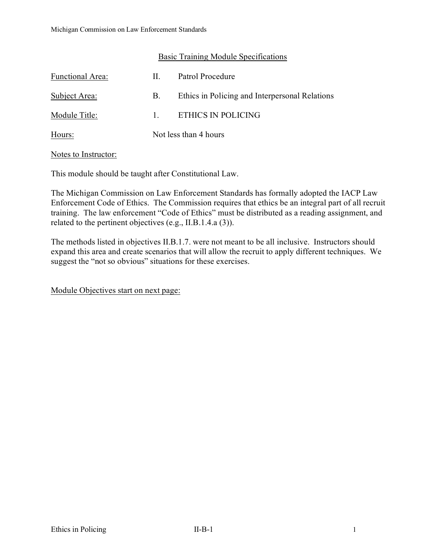### Basic Training Module Specifications

| Functional Area: | H.           | Patrol Procedure                               |
|------------------|--------------|------------------------------------------------|
| Subject Area:    | B.           | Ethics in Policing and Interpersonal Relations |
| Module Title:    | $\mathbf{1}$ | ETHICS IN POLICING                             |
| Hours:           |              | Not less than 4 hours                          |

#### Notes to Instructor:

This module should be taught after Constitutional Law.

The Michigan Commission on Law Enforcement Standards has formally adopted the IACP Law Enforcement Code of Ethics. The Commission requires that ethics be an integral part of all recruit training. The law enforcement "Code of Ethics" must be distributed as a reading assignment, and related to the pertinent objectives (e.g., II.B.1.4.a (3)).

The methods listed in objectives II.B.1.7. were not meant to be all inclusive. Instructors should expand this area and create scenarios that will allow the recruit to apply different techniques. We suggest the "not so obvious" situations for these exercises.

Module Objectives start on next page: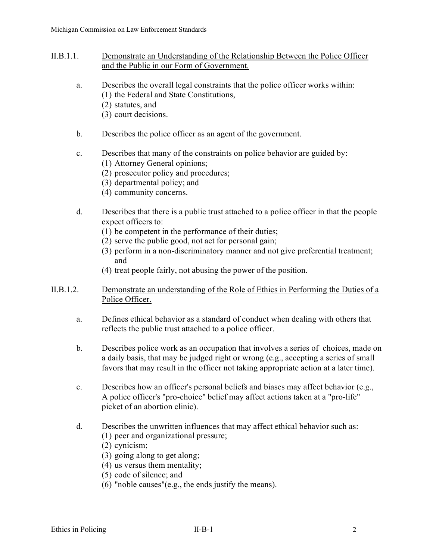- II.B.1.1. Demonstrate an Understanding of the Relationship Between the Police Officer and the Public in our Form of Government.
	- a. Describes the overall legal constraints that the police officer works within: (1) the Federal and State Constitutions,
		- (2) statutes, and
		- (3) court decisions.
	- b. Describes the police officer as an agent of the government.
	- c. Describes that many of the constraints on police behavior are guided by:
		- (1) Attorney General opinions;
		- (2) prosecutor policy and procedures;
		- (3) departmental policy; and
		- (4) community concerns.
	- d. Describes that there is a public trust attached to a police officer in that the people expect officers to:
		- (1) be competent in the performance of their duties;
		- (2) serve the public good, not act for personal gain;
		- (3) perform in a non-discriminatory manner and not give preferential treatment; and
		- (4) treat people fairly, not abusing the power of the position.
- II.B.1.2. Demonstrate an understanding of the Role of Ethics in Performing the Duties of a Police Officer.
	- a. Defines ethical behavior as a standard of conduct when dealing with others that reflects the public trust attached to a police officer.
	- b. Describes police work as an occupation that involves a series of choices, made on a daily basis, that may be judged right or wrong (e.g., accepting a series of small favors that may result in the officer not taking appropriate action at a later time).
	- c. Describes how an officer's personal beliefs and biases may affect behavior (e.g., A police officer's "pro-choice" belief may affect actions taken at a "pro-life" picket of an abortion clinic).
	- d. Describes the unwritten influences that may affect ethical behavior such as:
		- (1) peer and organizational pressure;
		- (2) cynicism;
		- (3) going along to get along;
		- (4) us versus them mentality;
		- (5) code of silence; and
		- (6) "noble causes"(e.g., the ends justify the means).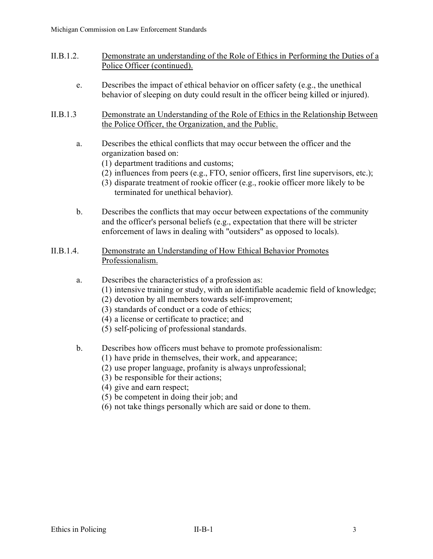- II.B.1.2. Demonstrate an understanding of the Role of Ethics in Performing the Duties of a Police Officer (continued).
	- e. Describes the impact of ethical behavior on officer safety (e.g., the unethical behavior of sleeping on duty could result in the officer being killed or injured).
- II.B.1.3 Demonstrate an Understanding of the Role of Ethics in the Relationship Between the Police Officer, the Organization, and the Public.
	- a. Describes the ethical conflicts that may occur between the officer and the organization based on:
		- (1) department traditions and customs;
		- (2) influences from peers (e.g., FTO, senior officers, first line supervisors, etc.);
		- (3) disparate treatment of rookie officer (e.g., rookie officer more likely to be terminated for unethical behavior).
	- b. Describes the conflicts that may occur between expectations of the community and the officer's personal beliefs (e.g., expectation that there will be stricter enforcement of laws in dealing with "outsiders" as opposed to locals).
- II.B.1.4. Demonstrate an Understanding of How Ethical Behavior Promotes Professionalism.
	- a. Describes the characteristics of a profession as:
		- (1) intensive training or study, with an identifiable academic field of knowledge;
		- (2) devotion by all members towards self-improvement;
		- (3) standards of conduct or a code of ethics;
		- (4) a license or certificate to practice; and
		- (5) self-policing of professional standards.
	- b. Describes how officers must behave to promote professionalism:
		- (1) have pride in themselves, their work, and appearance;
		- (2) use proper language, profanity is always unprofessional;
		- (3) be responsible for their actions;
		- (4) give and earn respect;
		- (5) be competent in doing their job; and
		- (6) not take things personally which are said or done to them.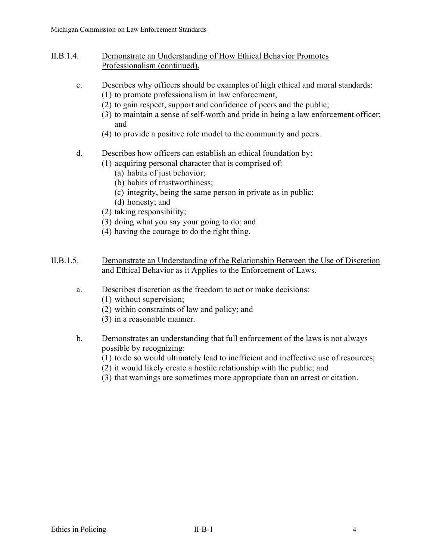- II.B.1.4. Demonstrate an Understanding of How Ethical Behavior Promotes Professionalism (continued).
	- c. Describes why officers should be examples of high ethical and moral standards:
		- (1) to promote professionalism in law enforcement,
		- (2) to gain respect, support and confidence of peers and the public;
		- (3) to maintain a sense of self-worth and pride in being a law enforcement officer; and
		- (4) to provide a positive role model to the community and peers.

# d. Describes how officers can establish an ethical foundation by:

- (1) acquiring personal character that is comprised of:
	- (a) habits of just behavior;
	- (b) habits of trustworthiness;
	- (c) integrity, being the same person in private as in public;
	- (d) honesty; and
- (2) taking responsibility;
- (3) doing what you say your going to do; and
- (4) having the courage to do the right thing.

## II.B.1.5. Demonstrate an Understanding of the Relationship Between the Use of Discretion and Ethical Behavior as it Applies to the Enforcement of Laws.

- a. Describes discretion as the freedom to act or make decisions:
	- (1) without supervision;
	- (2) within constraints of law and policy; and
	- (3) in a reasonable manner.
- b. Demonstrates an understanding that full enforcement of the laws is not always possible by recognizing:
	- (1) to do so would ultimately lead to inefficient and ineffective use of resources;
	- (2) it would likely create a hostile relationship with the public; and
	- (3) that warnings are sometimes more appropriate than an arrest or citation.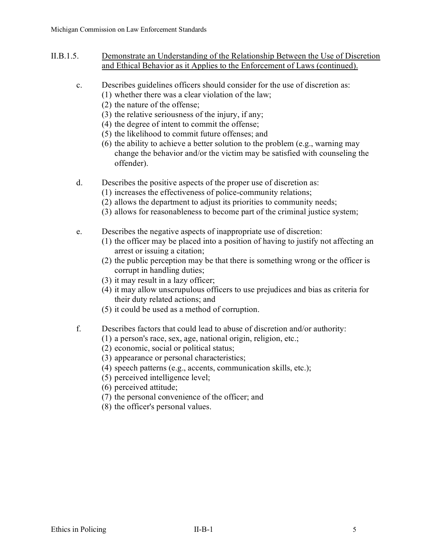- II.B.1.5. Demonstrate an Understanding of the Relationship Between the Use of Discretion and Ethical Behavior as it Applies to the Enforcement of Laws (continued).
	- c. Describes guidelines officers should consider for the use of discretion as:
		- (1) whether there was a clear violation of the law;
		- (2) the nature of the offense;
		- (3) the relative seriousness of the injury, if any;
		- (4) the degree of intent to commit the offense;
		- (5) the likelihood to commit future offenses; and
		- (6) the ability to achieve a better solution to the problem (e.g., warning may change the behavior and/or the victim may be satisfied with counseling the offender).
	- d. Describes the positive aspects of the proper use of discretion as:
		- (1) increases the effectiveness of police-community relations;
		- (2) allows the department to adjust its priorities to community needs;
		- (3) allows for reasonableness to become part of the criminal justice system;
	- e. Describes the negative aspects of inappropriate use of discretion:
		- (1) the officer may be placed into a position of having to justify not affecting an arrest or issuing a citation;
		- (2) the public perception may be that there is something wrong or the officer is corrupt in handling duties;
		- (3) it may result in a lazy officer;
		- (4) it may allow unscrupulous officers to use prejudices and bias as criteria for their duty related actions; and
		- (5) it could be used as a method of corruption.
	- f. Describes factors that could lead to abuse of discretion and/or authority:
		- (1) a person's race, sex, age, national origin, religion, etc.;
		- (2) economic, social or political status;
		- (3) appearance or personal characteristics;
		- (4) speech patterns (e.g., accents, communication skills, etc.);
		- (5) perceived intelligence level;
		- (6) perceived attitude;
		- (7) the personal convenience of the officer; and
		- (8) the officer's personal values.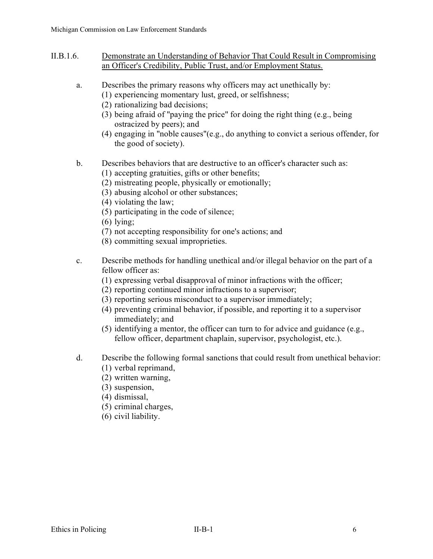- II.B.1.6. Demonstrate an Understanding of Behavior That Could Result in Compromising an Officer's Credibility, Public Trust, and/or Employment Status.
	- a. Describes the primary reasons why officers may act unethically by:
		- (1) experiencing momentary lust, greed, or selfishness;
		- (2) rationalizing bad decisions;
		- (3) being afraid of "paying the price" for doing the right thing (e.g., being ostracized by peers); and
		- (4) engaging in "noble causes"(e.g., do anything to convict a serious offender, for the good of society).
	- b. Describes behaviors that are destructive to an officer's character such as:
		- (1) accepting gratuities, gifts or other benefits;
		- (2) mistreating people, physically or emotionally;
		- (3) abusing alcohol or other substances;
		- (4) violating the law;
		- (5) participating in the code of silence;
		- (6) lying;
		- (7) not accepting responsibility for one's actions; and
		- (8) committing sexual improprieties.
	- c. Describe methods for handling unethical and/or illegal behavior on the part of a fellow officer as:
		- (1) expressing verbal disapproval of minor infractions with the officer;
		- (2) reporting continued minor infractions to a supervisor;
		- (3) reporting serious misconduct to a supervisor immediately;
		- (4) preventing criminal behavior, if possible, and reporting it to a supervisor immediately; and
		- (5) identifying a mentor, the officer can turn to for advice and guidance (e.g., fellow officer, department chaplain, supervisor, psychologist, etc.).
	- d. Describe the following formal sanctions that could result from unethical behavior:
		- (1) verbal reprimand,
		- (2) written warning,
		- (3) suspension,
		- (4) dismissal,
		- (5) criminal charges,
		- (6) civil liability.